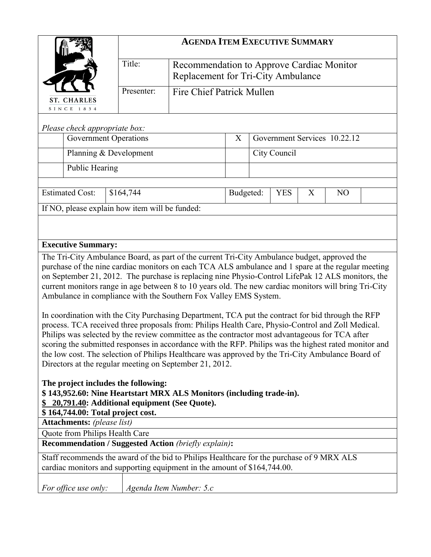|                                                                                                             |                              | <b>AGENDA ITEM EXECUTIVE SUMMARY</b>                                            |                  |              |   |                              |  |
|-------------------------------------------------------------------------------------------------------------|------------------------------|---------------------------------------------------------------------------------|------------------|--------------|---|------------------------------|--|
|                                                                                                             | Title:                       | Recommendation to Approve Cardiac Monitor<br>Replacement for Tri-City Ambulance |                  |              |   |                              |  |
| <b>ST. CHARLES</b>                                                                                          | Presenter:                   | <b>Fire Chief Patrick Mullen</b>                                                |                  |              |   |                              |  |
| SINCE 1834                                                                                                  |                              |                                                                                 |                  |              |   |                              |  |
| Please check appropriate box:                                                                               |                              |                                                                                 |                  |              |   |                              |  |
|                                                                                                             | <b>Government Operations</b> |                                                                                 | $\boldsymbol{X}$ |              |   | Government Services 10.22.12 |  |
|                                                                                                             | Planning & Development       |                                                                                 |                  | City Council |   |                              |  |
| <b>Public Hearing</b>                                                                                       |                              |                                                                                 |                  |              |   |                              |  |
| <b>Estimated Cost:</b>                                                                                      | \$164,744                    |                                                                                 | Budgeted:        | <b>YES</b>   | X | N <sub>O</sub>               |  |
| If NO, please explain how item will be funded:                                                              |                              |                                                                                 |                  |              |   |                              |  |
|                                                                                                             |                              |                                                                                 |                  |              |   |                              |  |
|                                                                                                             |                              |                                                                                 |                  |              |   |                              |  |
| <b>Executive Summary:</b>                                                                                   |                              |                                                                                 |                  |              |   |                              |  |
| The Tri-City Ambulance Board, as part of the current Tri-City Ambulance budget, approved the                |                              |                                                                                 |                  |              |   |                              |  |
| purchase of the nine cardiac monitors on each TCA ALS ambulance and 1 spare at the regular meeting          |                              |                                                                                 |                  |              |   |                              |  |
| on September 21, 2012. The purchase is replacing nine Physio-Control LifePak 12 ALS monitors, the           |                              |                                                                                 |                  |              |   |                              |  |
| current monitors range in age between 8 to 10 years old. The new cardiac monitors will bring Tri-City       |                              |                                                                                 |                  |              |   |                              |  |
| Ambulance in compliance with the Southern Fox Valley EMS System.                                            |                              |                                                                                 |                  |              |   |                              |  |
| In coordination with the City Purchasing Department, TCA put the contract for bid through the RFP           |                              |                                                                                 |                  |              |   |                              |  |
| process. TCA received three proposals from: Philips Health Care, Physio-Control and Zoll Medical.           |                              |                                                                                 |                  |              |   |                              |  |
| Philips was selected by the review committee as the contractor most advantageous for TCA after              |                              |                                                                                 |                  |              |   |                              |  |
| scoring the submitted responses in accordance with the RFP. Philips was the highest rated monitor and       |                              |                                                                                 |                  |              |   |                              |  |
| the low cost. The selection of Philips Healthcare was approved by the Tri-City Ambulance Board of           |                              |                                                                                 |                  |              |   |                              |  |
| Directors at the regular meeting on September 21, 2012.                                                     |                              |                                                                                 |                  |              |   |                              |  |
|                                                                                                             |                              |                                                                                 |                  |              |   |                              |  |
| The project includes the following:<br>\$143,952.60: Nine Heartstart MRX ALS Monitors (including trade-in). |                              |                                                                                 |                  |              |   |                              |  |
| \$ 20,791.40: Additional equipment (See Quote).                                                             |                              |                                                                                 |                  |              |   |                              |  |
| \$164,744.00: Total project cost.                                                                           |                              |                                                                                 |                  |              |   |                              |  |
| <b>Attachments:</b> (please list)                                                                           |                              |                                                                                 |                  |              |   |                              |  |
| Quote from Philips Health Care                                                                              |                              |                                                                                 |                  |              |   |                              |  |
| <b>Recommendation / Suggested Action (briefly explain):</b>                                                 |                              |                                                                                 |                  |              |   |                              |  |
| Staff recommends the award of the bid to Philips Healthcare for the purchase of 9 MRX ALS                   |                              |                                                                                 |                  |              |   |                              |  |
| cardiac monitors and supporting equipment in the amount of \$164,744.00.                                    |                              |                                                                                 |                  |              |   |                              |  |
|                                                                                                             |                              |                                                                                 |                  |              |   |                              |  |
| For office use only:                                                                                        |                              | Agenda Item Number: 5.c                                                         |                  |              |   |                              |  |
|                                                                                                             |                              |                                                                                 |                  |              |   |                              |  |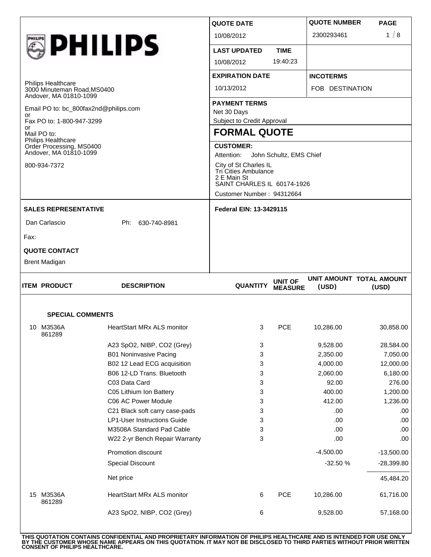| <b>SPECIAL COMMENTS</b><br>10 M3536A<br>861289                                                                                                                 | <b>HeartStart MRx ALS monitor</b> | 3                                                                                           | <b>PCE</b>                       | 10,286.00                         | 30,858.00                         |  |
|----------------------------------------------------------------------------------------------------------------------------------------------------------------|-----------------------------------|---------------------------------------------------------------------------------------------|----------------------------------|-----------------------------------|-----------------------------------|--|
| <b>ITEM PRODUCT</b>                                                                                                                                            | <b>DESCRIPTION</b>                | <b>QUANTITY</b>                                                                             | <b>UNIT OF</b><br><b>MEASURE</b> | (USD)                             | UNIT AMOUNT TOTAL AMOUNT<br>(USD) |  |
| <b>QUOTE CONTACT</b><br><b>Brent Madigan</b>                                                                                                                   |                                   |                                                                                             |                                  |                                   |                                   |  |
| Fax:                                                                                                                                                           |                                   |                                                                                             |                                  |                                   |                                   |  |
|                                                                                                                                                                |                                   |                                                                                             |                                  |                                   |                                   |  |
| <b>SALES REPRESENTATIVE</b><br>Dan Carlascio                                                                                                                   | Ph: 630-740-8981                  | <b>Federal EIN: 13-3429115</b>                                                              |                                  |                                   |                                   |  |
|                                                                                                                                                                |                                   | Customer Number: 94312664                                                                   |                                  |                                   |                                   |  |
| 800-934-7372                                                                                                                                                   |                                   | City of St Charles IL<br>Tri Cities Ambulance<br>2 E Main St<br>SAINT CHARLES IL 60174-1926 |                                  |                                   |                                   |  |
| Philips Healthcare<br>Order Processing, MS0400<br>Andover, MA 01810-1099                                                                                       |                                   | <b>CUSTOMER:</b><br>Attention:<br>John Schultz, EMS Chief                                   |                                  |                                   |                                   |  |
| or<br>Mail PO to:                                                                                                                                              |                                   | Subject to Credit Approval<br><b>FORMAL QUOTE</b>                                           |                                  |                                   |                                   |  |
| <b>Philips Healthcare</b><br>3000 Minuteman Road, MS0400<br>Andover, MA 01810-1099<br>Email PO to: bc_800fax2nd@philips.com<br>or<br>Fax PO to: 1-800-947-3299 |                                   |                                                                                             |                                  |                                   |                                   |  |
|                                                                                                                                                                |                                   | <b>PAYMENT TERMS</b><br>Net 30 Days                                                         |                                  |                                   |                                   |  |
|                                                                                                                                                                |                                   | 10/13/2012                                                                                  |                                  | FOB DESTINATION                   |                                   |  |
|                                                                                                                                                                |                                   | <b>EXPIRATION DATE</b>                                                                      |                                  | <b>INCOTERMS</b>                  |                                   |  |
|                                                                                                                                                                |                                   | 10/08/2012                                                                                  | 19:40:23                         |                                   |                                   |  |
| <b>SPHILIPS</b>                                                                                                                                                |                                   | <b>LAST UPDATED</b>                                                                         | <b>TIME</b>                      |                                   |                                   |  |
|                                                                                                                                                                |                                   |                                                                                             |                                  |                                   |                                   |  |
|                                                                                                                                                                |                                   | <b>QUOTE DATE</b><br>10/08/2012                                                             |                                  | <b>QUOTE NUMBER</b><br>2300293461 | <b>PAGE</b><br>1/8                |  |

|    | <b>SPECIAL COMMENTS</b> |                                    |   |            |             |              |
|----|-------------------------|------------------------------------|---|------------|-------------|--------------|
| 10 | M3536A<br>861289        | HeartStart MRx ALS monitor         | 3 | <b>PCE</b> | 10,286.00   | 30,858.00    |
|    |                         | A23 SpO2, NIBP, CO2 (Grey)         | 3 |            | 9,528.00    | 28,584.00    |
|    |                         | <b>B01 Noninvasive Pacing</b>      | 3 |            | 2,350.00    | 7,050.00     |
|    |                         | B02 12 Lead ECG acquisition        | 3 |            | 4,000.00    | 12,000.00    |
|    |                         | B06 12-LD Trans. Bluetooth         | 3 |            | 2,060.00    | 6,180.00     |
|    |                         | C03 Data Card                      | 3 |            | 92.00       | 276.00       |
|    |                         | C05 Lithium Ion Battery            | 3 |            | 400.00      | 1,200.00     |
|    |                         | C06 AC Power Module                | 3 |            | 412.00      | 1,236.00     |
|    |                         | C21 Black soft carry case-pads     | 3 |            | .00         | .00          |
|    |                         | <b>LP1-User Instructions Guide</b> | 3 |            | .00         | .00.         |
|    |                         | M3508A Standard Pad Cable          | 3 |            | .00         | .00          |
|    |                         | W22 2-yr Bench Repair Warranty     | 3 |            | .00.        | .00.         |
|    |                         | Promotion discount                 |   |            | $-4,500.00$ | $-13,500.00$ |
|    |                         | <b>Special Discount</b>            |   |            | $-32.50%$   | $-28,399.80$ |
|    |                         | Net price                          |   |            |             | 45,484.20    |
| 15 | M3536A<br>861289        | <b>HeartStart MRx ALS monitor</b>  | 6 | <b>PCE</b> | 10,286.00   | 61,716.00    |
|    |                         | A23 SpO2, NIBP, CO2 (Grey)         | 6 |            | 9,528.00    | 57,168.00    |
|    |                         |                                    |   |            |             |              |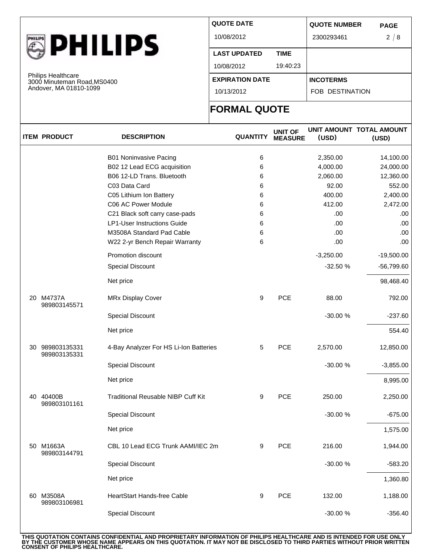| <b>HILIPS</b> | D<br>ш<br>۱۱ | AILI |  |
|---------------|--------------|------|--|
|---------------|--------------|------|--|

Philips Healthcare 3000 Minuteman Road,MS0400 Andover, MA 01810-1099

| <b>QUOTE DATE</b>      |             | <b>QUOTE NUMBER</b>    | <b>PAGE</b> |
|------------------------|-------------|------------------------|-------------|
| 10/08/2012             |             | 2300293461             | 2/8         |
| <b>LAST UPDATED</b>    | <b>TIME</b> |                        |             |
| 10/08/2012             | 19:40:23    |                        |             |
| <b>EXPIRATION DATE</b> |             | <b>INCOTERMS</b>       |             |
| 10/13/2012             |             | <b>FOB DESTINATION</b> |             |
|                        |             |                        |             |

## **FORMAL QUOTE**

| <b>ITEM PRODUCT</b>             | <b>DESCRIPTION</b>                        | <b>QUANTITY</b> | <b>UNIT OF</b><br><b>MEASURE</b> | (USD)       | UNIT AMOUNT TOTAL AMOUNT<br>(USD) |
|---------------------------------|-------------------------------------------|-----------------|----------------------------------|-------------|-----------------------------------|
|                                 | <b>B01 Noninvasive Pacing</b>             | 6               |                                  | 2,350.00    | 14,100.00                         |
|                                 | B02 12 Lead ECG acquisition               | 6               |                                  | 4,000.00    | 24,000.00                         |
|                                 | B06 12-LD Trans. Bluetooth                | 6               |                                  | 2,060.00    | 12,360.00                         |
|                                 | C03 Data Card                             | 6               |                                  | 92.00       | 552.00                            |
|                                 | C05 Lithium Ion Battery                   | 6               |                                  | 400.00      | 2,400.00                          |
|                                 | C06 AC Power Module                       | 6               |                                  | 412.00      | 2,472.00                          |
|                                 | C21 Black soft carry case-pads            | 6               |                                  | .00         | .00.                              |
|                                 | <b>LP1-User Instructions Guide</b>        | 6               |                                  | .00.        | .00                               |
|                                 | M3508A Standard Pad Cable                 | 6               |                                  | .00         | .00.                              |
|                                 | W22 2-yr Bench Repair Warranty            | 6               |                                  | .00         | .00.                              |
|                                 | Promotion discount                        |                 |                                  | $-3,250.00$ | $-19,500.00$                      |
|                                 | <b>Special Discount</b>                   |                 |                                  | $-32.50%$   | -56,799.60                        |
|                                 | Net price                                 |                 |                                  |             | 98,468.40                         |
| 20 M4737A<br>989803145571       | <b>MRx Display Cover</b>                  | 9               | <b>PCE</b>                       | 88.00       | 792.00                            |
|                                 | Special Discount                          |                 |                                  | -30.00 %    | $-237.60$                         |
|                                 | Net price                                 |                 |                                  |             | 554.40                            |
| 30 989803135331<br>989803135331 | 4-Bay Analyzer For HS Li-Ion Batteries    | 5               | PCE                              | 2,570.00    | 12,850.00                         |
|                                 | <b>Special Discount</b>                   |                 |                                  | -30.00 %    | $-3,855.00$                       |
|                                 | Net price                                 |                 |                                  |             | 8,995.00                          |
| 40 40400B<br>989803101161       | <b>Traditional Reusable NIBP Cuff Kit</b> | 9               | PCE                              | 250.00      | 2,250.00                          |
|                                 | Special Discount                          |                 |                                  | -30.00 %    | $-675.00$                         |
|                                 | Net price                                 |                 |                                  |             | 1,575.00                          |
| 50 M1663A<br>989803144791       | CBL 10 Lead ECG Trunk AAMI/IEC 2m         | 9               | PCE                              | 216.00      | 1,944.00                          |
|                                 | <b>Special Discount</b>                   |                 |                                  | -30.00 %    | $-583.20$                         |
|                                 | Net price                                 |                 |                                  |             | 1,360.80                          |
| 60 M3508A<br>989803106981       | <b>HeartStart Hands-free Cable</b>        | 9               | PCE                              | 132.00      | 1,188.00                          |
|                                 | <b>Special Discount</b>                   |                 |                                  | -30.00 %    | $-356.40$                         |

THIS QUOTATION CONTAINS CONFIDENTIAL AND PROPRIETARY INFORMATION OF PHILIPS HEALTHCARE AND IS INTENDED FOR USE ONLY<br>BY THE CUSTOMER WHOSE NAME APPEARS ON THIS QUOTATION. IT MAY NOT BE DISCLOSED TO THIRD PARTIES WITHOUT PRI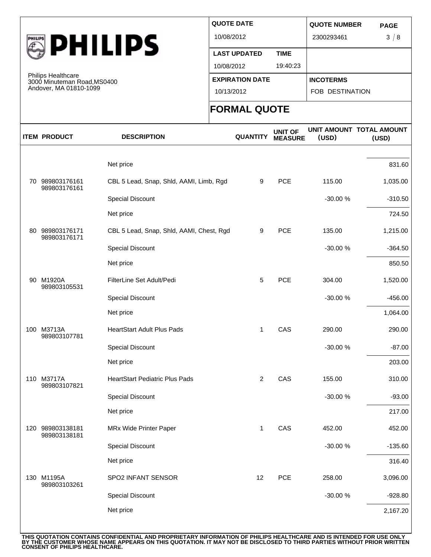

Philips Healthcare 3000 Minuteman Road,MS0400 Andover, MA 01810-1099

| <b>QUOTE DATE</b>      |             | <b>QUOTE NUMBER</b>    | <b>PAGE</b> |
|------------------------|-------------|------------------------|-------------|
| 10/08/2012             |             | 2300293461             | 3/8         |
| <b>LAST UPDATED</b>    | <b>TIME</b> |                        |             |
| 10/08/2012             | 19:40:23    |                        |             |
| <b>EXPIRATION DATE</b> |             | <b>INCOTERMS</b>       |             |
| 10/13/2012             |             | <b>FOB DESTINATION</b> |             |
|                        |             |                        |             |

## **FORMAL QUOTE**

| <b>ITEM PRODUCT</b>              | <b>DESCRIPTION</b>                       | <b>QUANTITY</b> | <b>UNIT OF</b><br><b>MEASURE</b> | (USD)    | UNIT AMOUNT TOTAL AMOUNT<br>(USD) |
|----------------------------------|------------------------------------------|-----------------|----------------------------------|----------|-----------------------------------|
|                                  |                                          |                 |                                  |          |                                   |
|                                  | Net price                                |                 |                                  |          | 831.60                            |
| 70 989803176161<br>989803176161  | CBL 5 Lead, Snap, Shld, AAMI, Limb, Rgd  | 9               | PCE                              | 115.00   | 1,035.00                          |
|                                  | Special Discount                         |                 |                                  | -30.00 % | $-310.50$                         |
|                                  | Net price                                |                 |                                  |          | 724.50                            |
| 80 989803176171<br>989803176171  | CBL 5 Lead, Snap, Shld, AAMI, Chest, Rgd | 9               | PCE                              | 135.00   | 1,215.00                          |
|                                  | Special Discount                         |                 |                                  | -30.00 % | $-364.50$                         |
|                                  | Net price                                |                 |                                  |          | 850.50                            |
| 90 M1920A<br>989803105531        | FilterLine Set Adult/Pedi                | 5               | PCE                              | 304.00   | 1,520.00                          |
|                                  | <b>Special Discount</b>                  |                 |                                  | -30.00 % | $-456.00$                         |
|                                  | Net price                                |                 |                                  |          | 1,064.00                          |
| 100 M3713A<br>989803107781       | <b>HeartStart Adult Plus Pads</b>        | 1               | CAS                              | 290.00   | 290.00                            |
|                                  | Special Discount                         |                 |                                  | -30.00 % | $-87.00$                          |
|                                  | Net price                                |                 |                                  |          | 203.00                            |
| 110 M3717A<br>989803107821       | HeartStart Pediatric Plus Pads           | 2               | CAS                              | 155.00   | 310.00                            |
|                                  | Special Discount                         |                 |                                  | -30.00 % | $-93.00$                          |
|                                  | Net price                                |                 |                                  |          | 217.00                            |
| 120 989803138181<br>989803138181 | MRx Wide Printer Paper                   | $\mathbf{1}$    | CAS                              | 452.00   | 452.00                            |
|                                  | Special Discount                         |                 |                                  | -30.00 % | $-135.60$                         |
|                                  | Net price                                |                 |                                  |          | 316.40                            |
| 130 M1195A<br>989803103261       | SPO2 INFANT SENSOR                       | 12              | PCE                              | 258.00   | 3,096.00                          |
|                                  | Special Discount                         |                 |                                  | -30.00 % | $-928.80$                         |
|                                  | Net price                                |                 |                                  |          | 2,167.20                          |
|                                  |                                          |                 |                                  |          |                                   |

THIS QUOTATION CONTAINS CONFIDENTIAL AND PROPRIETARY INFORMATION OF PHILIPS HEALTHCARE AND IS INTENDED FOR USE ONLY<br>BY THE CUSTOMER WHOSE NAME APPEARS ON THIS QUOTATION. IT MAY NOT BE DISCLOSED TO THIRD PARTIES WITHOUT PRI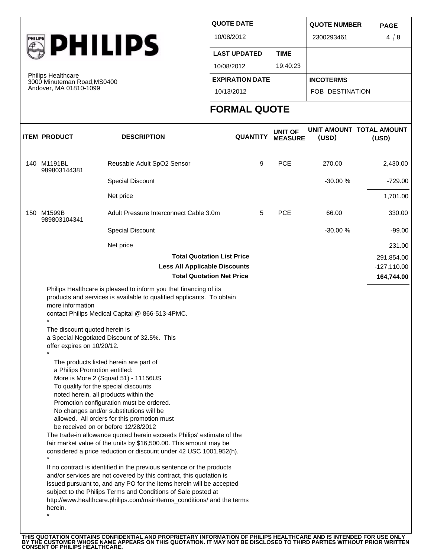

Philips Healthcare 3000 Minuteman Road,MS0400 Andover, MA 01810-1099

| <b>QUOTE DATE</b>      |             | <b>QUOTE NUMBER</b>    | <b>PAGE</b> |
|------------------------|-------------|------------------------|-------------|
| 10/08/2012             |             | 2300293461             | 4/8         |
| <b>LAST UPDATED</b>    | <b>TIME</b> |                        |             |
| 10/08/2012             | 19:40:23    |                        |             |
| <b>EXPIRATION DATE</b> |             | <b>INCOTERMS</b>       |             |
| 10/13/2012             |             | <b>FOB DESTINATION</b> |             |
| <b>FADMAL AUATE</b>    |             |                        |             |

## **FORMAL QUOTE**

|                                                                                                     |                                                                                                                                                                                                                                                                                                                                                                                                                                                                                                                                                                                                  | <b>FORMAL QUOTE</b>               |                                  |           |                                   |
|-----------------------------------------------------------------------------------------------------|--------------------------------------------------------------------------------------------------------------------------------------------------------------------------------------------------------------------------------------------------------------------------------------------------------------------------------------------------------------------------------------------------------------------------------------------------------------------------------------------------------------------------------------------------------------------------------------------------|-----------------------------------|----------------------------------|-----------|-----------------------------------|
| <b>ITEM PRODUCT</b>                                                                                 | <b>DESCRIPTION</b>                                                                                                                                                                                                                                                                                                                                                                                                                                                                                                                                                                               | <b>QUANTITY</b>                   | <b>UNIT OF</b><br><b>MEASURE</b> | (USD)     | UNIT AMOUNT TOTAL AMOUNT<br>(USD) |
| 140 M1191BL                                                                                         | Reusable Adult SpO2 Sensor                                                                                                                                                                                                                                                                                                                                                                                                                                                                                                                                                                       | 9                                 | <b>PCE</b>                       | 270.00    | 2,430.00                          |
| 989803144381                                                                                        |                                                                                                                                                                                                                                                                                                                                                                                                                                                                                                                                                                                                  |                                   |                                  |           |                                   |
|                                                                                                     | Special Discount                                                                                                                                                                                                                                                                                                                                                                                                                                                                                                                                                                                 |                                   |                                  | $-30.00%$ | $-729.00$                         |
|                                                                                                     | Net price                                                                                                                                                                                                                                                                                                                                                                                                                                                                                                                                                                                        |                                   |                                  |           | 1,701.00                          |
| 150 M1599B<br>989803104341                                                                          | Adult Pressure Interconnect Cable 3.0m                                                                                                                                                                                                                                                                                                                                                                                                                                                                                                                                                           | 5                                 | <b>PCE</b>                       | 66.00     | 330.00                            |
|                                                                                                     | Special Discount                                                                                                                                                                                                                                                                                                                                                                                                                                                                                                                                                                                 |                                   |                                  | $-30.00%$ | $-99.00$                          |
|                                                                                                     | Net price                                                                                                                                                                                                                                                                                                                                                                                                                                                                                                                                                                                        |                                   |                                  |           | 231.00                            |
|                                                                                                     |                                                                                                                                                                                                                                                                                                                                                                                                                                                                                                                                                                                                  | <b>Total Quotation List Price</b> |                                  |           | 291,854.00                        |
|                                                                                                     | <b>Less All Applicable Discounts</b>                                                                                                                                                                                                                                                                                                                                                                                                                                                                                                                                                             |                                   |                                  |           | $-127,110.00$                     |
|                                                                                                     |                                                                                                                                                                                                                                                                                                                                                                                                                                                                                                                                                                                                  | <b>Total Quotation Net Price</b>  |                                  |           | 164,744.00                        |
| more information<br>The discount quoted herein is<br>a Special Negotiated Discount of 32.5%. This   | contact Philips Medical Capital @ 866-513-4PMC.                                                                                                                                                                                                                                                                                                                                                                                                                                                                                                                                                  |                                   |                                  |           |                                   |
| offer expires on 10/20/12.<br>a Philips Promotion entitled:<br>To qualify for the special discounts | The products listed herein are part of<br>More is More 2 (Squad 51) - 11156US<br>noted herein, all products within the<br>Promotion configuration must be ordered.<br>No changes and/or substitutions will be<br>allowed. All orders for this promotion must<br>be received on or before 12/28/2012<br>The trade-in allowance quoted herein exceeds Philips' estimate of the<br>fair market value of the units by \$16,500.00. This amount may be<br>considered a price reduction or discount under 42 USC 1001.952(h).<br>If no contract is identified in the previous sentence or the products |                                   |                                  |           |                                   |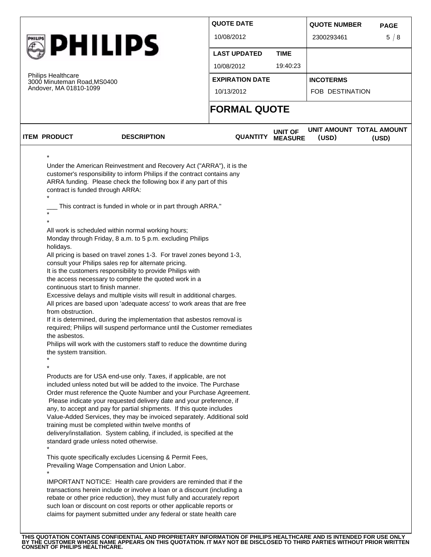|                                                                                                                                                                |                                                                                                                                                                                                                                                                                                                                                                                                                                                                                                                                                                                                                                                                                                                                                                                                                                                                                                                                                                                                                                                                                                             | <b>QUOTE DATE</b>   |                                  | <b>QUOTE NUMBER</b>               | <b>PAGE</b> |
|----------------------------------------------------------------------------------------------------------------------------------------------------------------|-------------------------------------------------------------------------------------------------------------------------------------------------------------------------------------------------------------------------------------------------------------------------------------------------------------------------------------------------------------------------------------------------------------------------------------------------------------------------------------------------------------------------------------------------------------------------------------------------------------------------------------------------------------------------------------------------------------------------------------------------------------------------------------------------------------------------------------------------------------------------------------------------------------------------------------------------------------------------------------------------------------------------------------------------------------------------------------------------------------|---------------------|----------------------------------|-----------------------------------|-------------|
|                                                                                                                                                                |                                                                                                                                                                                                                                                                                                                                                                                                                                                                                                                                                                                                                                                                                                                                                                                                                                                                                                                                                                                                                                                                                                             | 10/08/2012          |                                  | 2300293461                        | 5/8         |
| <b>PHILIPS</b>                                                                                                                                                 |                                                                                                                                                                                                                                                                                                                                                                                                                                                                                                                                                                                                                                                                                                                                                                                                                                                                                                                                                                                                                                                                                                             | <b>LAST UPDATED</b> | <b>TIME</b>                      |                                   |             |
|                                                                                                                                                                | 10/08/2012                                                                                                                                                                                                                                                                                                                                                                                                                                                                                                                                                                                                                                                                                                                                                                                                                                                                                                                                                                                                                                                                                                  | 19:40:23            |                                  |                                   |             |
| <b>Philips Healthcare</b><br>3000 Minuteman Road, MS0400                                                                                                       | <b>EXPIRATION DATE</b>                                                                                                                                                                                                                                                                                                                                                                                                                                                                                                                                                                                                                                                                                                                                                                                                                                                                                                                                                                                                                                                                                      |                     | <b>INCOTERMS</b>                 |                                   |             |
| Andover, MA 01810-1099                                                                                                                                         |                                                                                                                                                                                                                                                                                                                                                                                                                                                                                                                                                                                                                                                                                                                                                                                                                                                                                                                                                                                                                                                                                                             | 10/13/2012          |                                  | FOB DESTINATION                   |             |
|                                                                                                                                                                |                                                                                                                                                                                                                                                                                                                                                                                                                                                                                                                                                                                                                                                                                                                                                                                                                                                                                                                                                                                                                                                                                                             | <b>FORMAL QUOTE</b> |                                  |                                   |             |
| <b>ITEM PRODUCT</b>                                                                                                                                            | <b>DESCRIPTION</b>                                                                                                                                                                                                                                                                                                                                                                                                                                                                                                                                                                                                                                                                                                                                                                                                                                                                                                                                                                                                                                                                                          | <b>QUANTITY</b>     | <b>UNIT OF</b><br><b>MEASURE</b> | UNIT AMOUNT TOTAL AMOUNT<br>(USD) | (USD)       |
| contract is funded through ARRA:<br>$\star$<br>holidays.<br>continuous start to finish manner.<br>from obstruction.<br>the asbestos.<br>the system transition. | This contract is funded in whole or in part through ARRA."<br>All work is scheduled within normal working hours;<br>Monday through Friday, 8 a.m. to 5 p.m. excluding Philips<br>All pricing is based on travel zones 1-3. For travel zones beyond 1-3,<br>consult your Philips sales rep for alternate pricing.<br>It is the customers responsibility to provide Philips with<br>the access necessary to complete the quoted work in a<br>Excessive delays and multiple visits will result in additional charges.<br>All prices are based upon 'adequate access' to work areas that are free<br>If it is determined, during the implementation that asbestos removal is<br>required; Philips will suspend performance until the Customer remediates<br>Philips will work with the customers staff to reduce the downtime during                                                                                                                                                                                                                                                                            |                     |                                  |                                   |             |
|                                                                                                                                                                | Products are for USA end-use only. Taxes, if applicable, are not<br>included unless noted but will be added to the invoice. The Purchase<br>Order must reference the Quote Number and your Purchase Agreement.<br>Please indicate your requested delivery date and your preference, if<br>any, to accept and pay for partial shipments. If this quote includes<br>Value-Added Services, they may be invoiced separately. Additional sold<br>training must be completed within twelve months of<br>delivery/installation. System cabling, if included, is specified at the<br>standard grade unless noted otherwise.<br>This quote specifically excludes Licensing & Permit Fees,<br>Prevailing Wage Compensation and Union Labor.<br>IMPORTANT NOTICE: Health care providers are reminded that if the<br>transactions herein include or involve a loan or a discount (including a<br>rebate or other price reduction), they must fully and accurately report<br>such loan or discount on cost reports or other applicable reports or<br>claims for payment submitted under any federal or state health care |                     |                                  |                                   |             |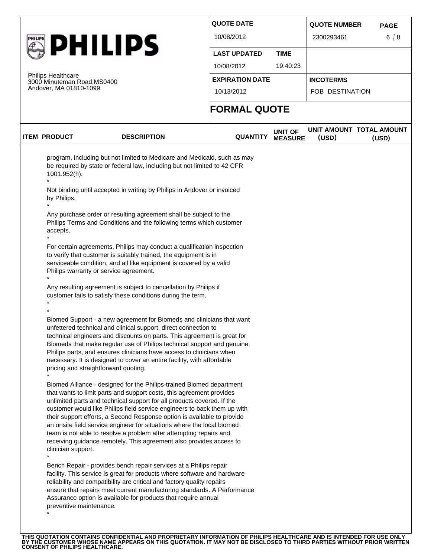|  |                                                          |                                                                                                                                                                                                                                                                                                                                                                                                                                                                                                                                                                                                      | <b>QUOTE DATE</b>      |                                  | <b>QUOTE NUMBER</b>               | <b>PAGE</b> |
|--|----------------------------------------------------------|------------------------------------------------------------------------------------------------------------------------------------------------------------------------------------------------------------------------------------------------------------------------------------------------------------------------------------------------------------------------------------------------------------------------------------------------------------------------------------------------------------------------------------------------------------------------------------------------------|------------------------|----------------------------------|-----------------------------------|-------------|
|  |                                                          | <b>PHILIPS</b>                                                                                                                                                                                                                                                                                                                                                                                                                                                                                                                                                                                       | 10/08/2012             |                                  | 2300293461                        | 6/8         |
|  |                                                          |                                                                                                                                                                                                                                                                                                                                                                                                                                                                                                                                                                                                      | <b>LAST UPDATED</b>    | <b>TIME</b>                      |                                   |             |
|  |                                                          | 10/08/2012                                                                                                                                                                                                                                                                                                                                                                                                                                                                                                                                                                                           | 19:40:23               |                                  |                                   |             |
|  | <b>Philips Healthcare</b><br>3000 Minuteman Road, MS0400 |                                                                                                                                                                                                                                                                                                                                                                                                                                                                                                                                                                                                      | <b>EXPIRATION DATE</b> |                                  | <b>INCOTERMS</b>                  |             |
|  | Andover, MA 01810-1099                                   |                                                                                                                                                                                                                                                                                                                                                                                                                                                                                                                                                                                                      | 10/13/2012             |                                  | FOB DESTINATION                   |             |
|  |                                                          |                                                                                                                                                                                                                                                                                                                                                                                                                                                                                                                                                                                                      | <b>FORMAL QUOTE</b>    |                                  |                                   |             |
|  | <b>ITEM PRODUCT</b>                                      | <b>DESCRIPTION</b>                                                                                                                                                                                                                                                                                                                                                                                                                                                                                                                                                                                   | <b>QUANTITY</b>        | <b>UNIT OF</b><br><b>MEASURE</b> | UNIT AMOUNT TOTAL AMOUNT<br>(USD) | (USD)       |
|  | 1001.952(h).                                             | program, including but not limited to Medicare and Medicaid, such as may<br>be required by state or federal law, including but not limited to 42 CFR                                                                                                                                                                                                                                                                                                                                                                                                                                                 |                        |                                  |                                   |             |
|  | by Philips.                                              | Not binding until accepted in writing by Philips in Andover or invoiced                                                                                                                                                                                                                                                                                                                                                                                                                                                                                                                              |                        |                                  |                                   |             |
|  | accepts.                                                 | Any purchase order or resulting agreement shall be subject to the<br>Philips Terms and Conditions and the following terms which customer                                                                                                                                                                                                                                                                                                                                                                                                                                                             |                        |                                  |                                   |             |
|  |                                                          | For certain agreements, Philips may conduct a qualification inspection<br>to verify that customer is suitably trained, the equipment is in<br>serviceable condition, and all like equipment is covered by a valid<br>Philips warranty or service agreement.                                                                                                                                                                                                                                                                                                                                          |                        |                                  |                                   |             |
|  |                                                          | Any resulting agreement is subject to cancellation by Philips if<br>customer fails to satisfy these conditions during the term.                                                                                                                                                                                                                                                                                                                                                                                                                                                                      |                        |                                  |                                   |             |
|  |                                                          | Biomed Support - a new agreement for Biomeds and clinicians that want<br>unfettered technical and clinical support, direct connection to<br>technical engineers and discounts on parts. This agreement is great for<br>Biomeds that make regular use of Philips technical support and genuine<br>Philips parts, and ensures clinicians have access to clinicians when<br>necessary. It is designed to cover an entire facility, with affordable                                                                                                                                                      |                        |                                  |                                   |             |
|  | pricing and straightforward quoting.                     |                                                                                                                                                                                                                                                                                                                                                                                                                                                                                                                                                                                                      |                        |                                  |                                   |             |
|  | clinician support.                                       | Biomed Alliance - designed for the Philips-trained Biomed department<br>that wants to limit parts and support costs, this agreement provides<br>unlimited parts and technical support for all products covered. If the<br>customer would like Philips field service engineers to back them up with<br>their support efforts, a Second Response option is available to provide<br>an onsite field service engineer for situations where the local biomed<br>team is not able to resolve a problem after attempting repairs and<br>receiving guidance remotely. This agreement also provides access to |                        |                                  |                                   |             |
|  | preventive maintenance.                                  | Bench Repair - provides bench repair services at a Philips repair<br>facility. This service is great for products where software and hardware<br>reliability and compatibility are critical and factory quality repairs<br>ensure that repairs meet current manufacturing standards. A Performance<br>Assurance option is available for products that require annual                                                                                                                                                                                                                                 |                        |                                  |                                   |             |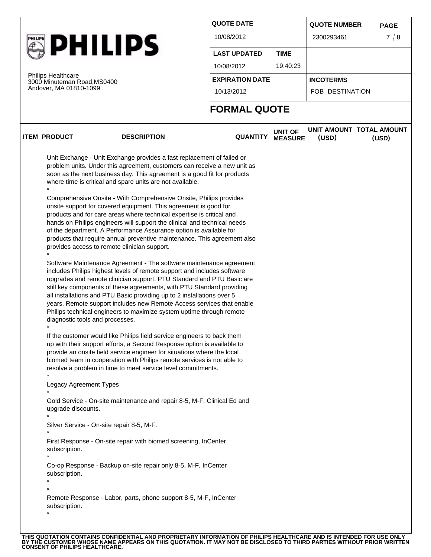|                                                                                                                   |                                                                                                                                                                                                                                                                                                                                                                                                                                                                                                                                                                                                                                                                                                                                                                                                                                                                                                                                                                                                                                                                                                                                                                                                                                                                                                                                                                                                                                                                                                                                                                                                                                                                                                                                   |                     |                                  | <b>QUOTE NUMBER</b>               | <b>PAGE</b> |  |
|-------------------------------------------------------------------------------------------------------------------|-----------------------------------------------------------------------------------------------------------------------------------------------------------------------------------------------------------------------------------------------------------------------------------------------------------------------------------------------------------------------------------------------------------------------------------------------------------------------------------------------------------------------------------------------------------------------------------------------------------------------------------------------------------------------------------------------------------------------------------------------------------------------------------------------------------------------------------------------------------------------------------------------------------------------------------------------------------------------------------------------------------------------------------------------------------------------------------------------------------------------------------------------------------------------------------------------------------------------------------------------------------------------------------------------------------------------------------------------------------------------------------------------------------------------------------------------------------------------------------------------------------------------------------------------------------------------------------------------------------------------------------------------------------------------------------------------------------------------------------|---------------------|----------------------------------|-----------------------------------|-------------|--|
|                                                                                                                   |                                                                                                                                                                                                                                                                                                                                                                                                                                                                                                                                                                                                                                                                                                                                                                                                                                                                                                                                                                                                                                                                                                                                                                                                                                                                                                                                                                                                                                                                                                                                                                                                                                                                                                                                   | 10/08/2012          |                                  | 2300293461                        | 7/8         |  |
|                                                                                                                   | <b>PHILIPS</b>                                                                                                                                                                                                                                                                                                                                                                                                                                                                                                                                                                                                                                                                                                                                                                                                                                                                                                                                                                                                                                                                                                                                                                                                                                                                                                                                                                                                                                                                                                                                                                                                                                                                                                                    | <b>LAST UPDATED</b> | <b>TIME</b>                      |                                   |             |  |
|                                                                                                                   |                                                                                                                                                                                                                                                                                                                                                                                                                                                                                                                                                                                                                                                                                                                                                                                                                                                                                                                                                                                                                                                                                                                                                                                                                                                                                                                                                                                                                                                                                                                                                                                                                                                                                                                                   | 10/08/2012          | 19:40:23                         |                                   |             |  |
| <b>Philips Healthcare</b>                                                                                         | 3000 Minuteman Road, MS0400                                                                                                                                                                                                                                                                                                                                                                                                                                                                                                                                                                                                                                                                                                                                                                                                                                                                                                                                                                                                                                                                                                                                                                                                                                                                                                                                                                                                                                                                                                                                                                                                                                                                                                       |                     | <b>EXPIRATION DATE</b>           | <b>INCOTERMS</b>                  |             |  |
| Andover, MA 01810-1099                                                                                            |                                                                                                                                                                                                                                                                                                                                                                                                                                                                                                                                                                                                                                                                                                                                                                                                                                                                                                                                                                                                                                                                                                                                                                                                                                                                                                                                                                                                                                                                                                                                                                                                                                                                                                                                   | 10/13/2012          |                                  | FOB DESTINATION                   |             |  |
|                                                                                                                   |                                                                                                                                                                                                                                                                                                                                                                                                                                                                                                                                                                                                                                                                                                                                                                                                                                                                                                                                                                                                                                                                                                                                                                                                                                                                                                                                                                                                                                                                                                                                                                                                                                                                                                                                   | <b>FORMAL QUOTE</b> |                                  |                                   |             |  |
| <b>ITEM PRODUCT</b>                                                                                               | <b>DESCRIPTION</b>                                                                                                                                                                                                                                                                                                                                                                                                                                                                                                                                                                                                                                                                                                                                                                                                                                                                                                                                                                                                                                                                                                                                                                                                                                                                                                                                                                                                                                                                                                                                                                                                                                                                                                                | <b>QUANTITY</b>     | <b>UNIT OF</b><br><b>MEASURE</b> | UNIT AMOUNT TOTAL AMOUNT<br>(USD) | (USD)       |  |
| diagnostic tools and processes.<br>Legacy Agreement Types<br>upgrade discounts.<br>subscription.<br>subscription. | where time is critical and spare units are not available.<br>Comprehensive Onsite - With Comprehensive Onsite, Philips provides<br>onsite support for covered equipment. This agreement is good for<br>products and for care areas where technical expertise is critical and<br>hands on Philips engineers will support the clinical and technical needs<br>of the department. A Performance Assurance option is available for<br>products that require annual preventive maintenance. This agreement also<br>provides access to remote clinician support.<br>Software Maintenance Agreement - The software maintenance agreement<br>includes Philips highest levels of remote support and includes software<br>upgrades and remote clinician support. PTU Standard and PTU Basic are<br>still key components of these agreements, with PTU Standard providing<br>all installations and PTU Basic providing up to 2 installations over 5<br>years. Remote support includes new Remote Access services that enable<br>Philips technical engineers to maximize system uptime through remote<br>If the customer would like Philips field service engineers to back them<br>up with their support efforts, a Second Response option is available to<br>provide an onsite field service engineer for situations where the local<br>biomed team in cooperation with Philips remote services is not able to<br>resolve a problem in time to meet service level commitments.<br>Gold Service - On-site maintenance and repair 8-5, M-F; Clinical Ed and<br>Silver Service - On-site repair 8-5, M-F.<br>First Response - On-site repair with biomed screening, InCenter<br>Co-op Response - Backup on-site repair only 8-5, M-F, InCenter |                     |                                  |                                   |             |  |